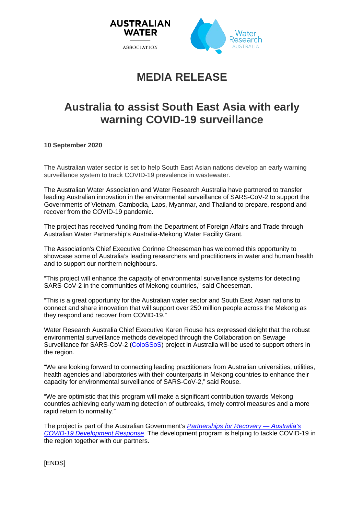

# **MEDIA RELEASE**

## **Australia to assist South East Asia with early warning COVID-19 surveillance**

**10 September 2020**

The Australian water sector is set to help South East Asian nations develop an early warning surveillance system to track COVID-19 prevalence in wastewater.

The Australian Water Association and Water Research Australia have partnered to transfer leading Australian innovation in the environmental surveillance of SARS-CoV-2 to support the Governments of Vietnam, Cambodia, Laos, Myanmar, and Thailand to prepare, respond and recover from the COVID-19 pandemic.

The project has received funding from the Department of Foreign Affairs and Trade through Australian Water Partnership's Australia-Mekong Water Facility Grant.

The Association's Chief Executive Corinne Cheeseman has welcomed this opportunity to showcase some of Australia's leading researchers and practitioners in water and human health and to support our northern neighbours.

"This project will enhance the capacity of environmental surveillance systems for detecting SARS-CoV-2 in the communities of Mekong countries," said Cheeseman.

"This is a great opportunity for the Australian water sector and South East Asian nations to connect and share innovation that will support over 250 million people across the Mekong as they respond and recover from COVID-19."

Water Research Australia Chief Executive Karen Rouse has expressed delight that the robust environmental surveillance methods developed through the Collaboration on Sewage Surveillance for SARS-CoV-2 [\(ColoSSoS\)](https://www.waterra.com.au/research/communities-of-interest/covid-19/) project in Australia will be used to support others in the region.

"We are looking forward to connecting leading practitioners from Australian universities, utilities, health agencies and laboratories with their counterparts in Mekong countries to enhance their capacity for environmental surveillance of SARS-CoV-2," said Rouse.

"We are optimistic that this program will make a significant contribution towards Mekong countries achieving early warning detection of outbreaks, timely control measures and a more rapid return to normality."

The project is part of the Australian Government's *[Partnerships for Recovery —](https://www.dfat.gov.au/news/news/partnering-our-neighbours-respond-covid-19) Australia's [COVID-19 Development Response](https://www.dfat.gov.au/news/news/partnering-our-neighbours-respond-covid-19)*. The development program is helping to tackle COVID-19 in the region together with our partners.

[ENDS]